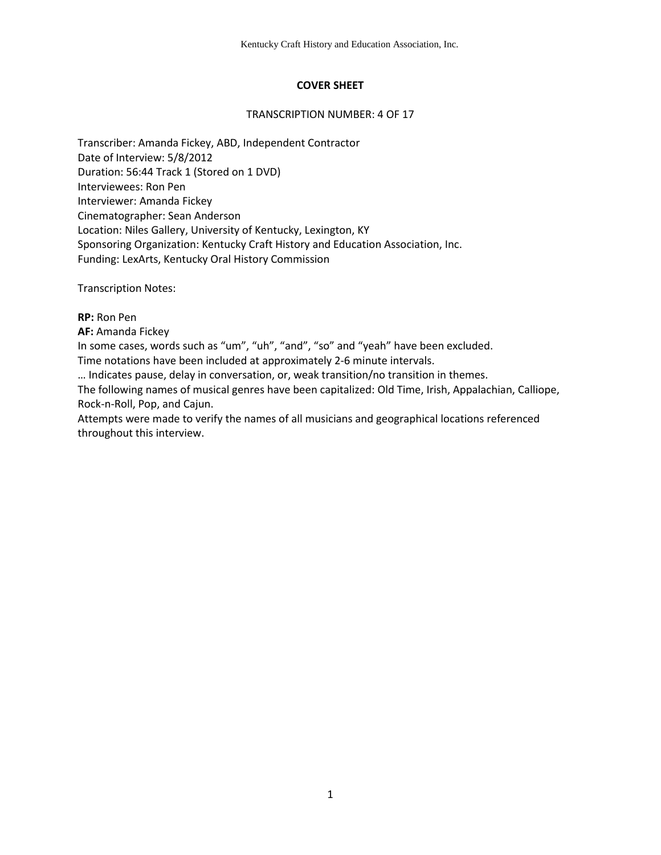# **COVER SHEET**

#### TRANSCRIPTION NUMBER: 4 OF 17

Transcriber: Amanda Fickey, ABD, Independent Contractor Date of Interview: 5/8/2012 Duration: 56:44 Track 1 (Stored on 1 DVD) Interviewees: Ron Pen Interviewer: Amanda Fickey Cinematographer: Sean Anderson Location: Niles Gallery, University of Kentucky, Lexington, KY Sponsoring Organization: Kentucky Craft History and Education Association, Inc. Funding: LexArts, Kentucky Oral History Commission

Transcription Notes:

**RP:** Ron Pen

**AF:** Amanda Fickey

In some cases, words such as "um", "uh", "and", "so" and "yeah" have been excluded.

Time notations have been included at approximately 2-6 minute intervals.

… Indicates pause, delay in conversation, or, weak transition/no transition in themes.

The following names of musical genres have been capitalized: Old Time, Irish, Appalachian, Calliope, Rock-n-Roll, Pop, and Cajun.

Attempts were made to verify the names of all musicians and geographical locations referenced throughout this interview.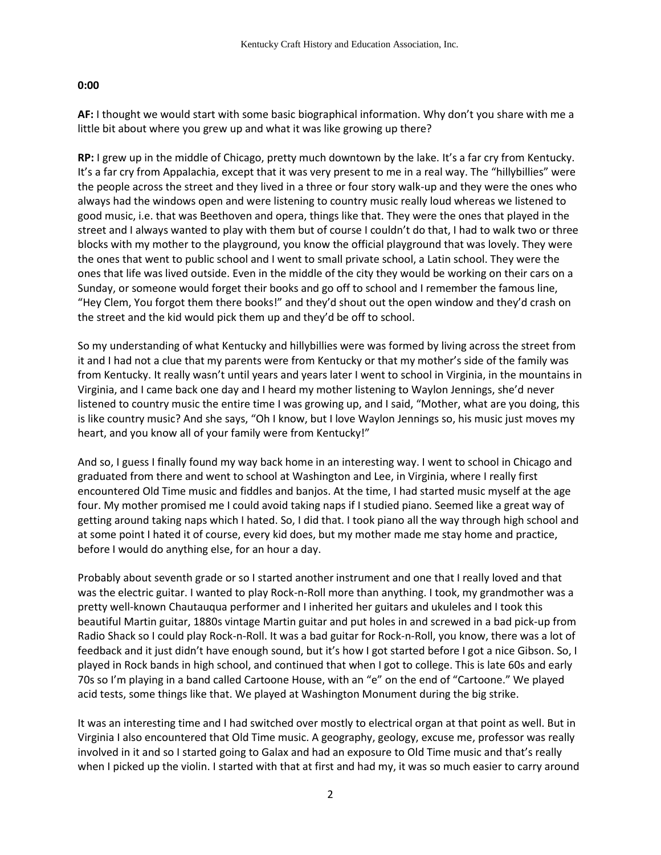#### **0:00**

**AF:** I thought we would start with some basic biographical information. Why don't you share with me a little bit about where you grew up and what it was like growing up there?

**RP:** I grew up in the middle of Chicago, pretty much downtown by the lake. It's a far cry from Kentucky. It's a far cry from Appalachia, except that it was very present to me in a real way. The "hillybillies" were the people across the street and they lived in a three or four story walk-up and they were the ones who always had the windows open and were listening to country music really loud whereas we listened to good music, i.e. that was Beethoven and opera, things like that. They were the ones that played in the street and I always wanted to play with them but of course I couldn't do that, I had to walk two or three blocks with my mother to the playground, you know the official playground that was lovely. They were the ones that went to public school and I went to small private school, a Latin school. They were the ones that life was lived outside. Even in the middle of the city they would be working on their cars on a Sunday, or someone would forget their books and go off to school and I remember the famous line, "Hey Clem, You forgot them there books!" and they'd shout out the open window and they'd crash on the street and the kid would pick them up and they'd be off to school.

So my understanding of what Kentucky and hillybillies were was formed by living across the street from it and I had not a clue that my parents were from Kentucky or that my mother's side of the family was from Kentucky. It really wasn't until years and years later I went to school in Virginia, in the mountains in Virginia, and I came back one day and I heard my mother listening to Waylon Jennings, she'd never listened to country music the entire time I was growing up, and I said, "Mother, what are you doing, this is like country music? And she says, "Oh I know, but I love Waylon Jennings so, his music just moves my heart, and you know all of your family were from Kentucky!"

And so, I guess I finally found my way back home in an interesting way. I went to school in Chicago and graduated from there and went to school at Washington and Lee, in Virginia, where I really first encountered Old Time music and fiddles and banjos. At the time, I had started music myself at the age four. My mother promised me I could avoid taking naps if I studied piano. Seemed like a great way of getting around taking naps which I hated. So, I did that. I took piano all the way through high school and at some point I hated it of course, every kid does, but my mother made me stay home and practice, before I would do anything else, for an hour a day.

Probably about seventh grade or so I started another instrument and one that I really loved and that was the electric guitar. I wanted to play Rock-n-Roll more than anything. I took, my grandmother was a pretty well-known Chautauqua performer and I inherited her guitars and ukuleles and I took this beautiful Martin guitar, 1880s vintage Martin guitar and put holes in and screwed in a bad pick-up from Radio Shack so I could play Rock-n-Roll. It was a bad guitar for Rock-n-Roll, you know, there was a lot of feedback and it just didn't have enough sound, but it's how I got started before I got a nice Gibson. So, I played in Rock bands in high school, and continued that when I got to college. This is late 60s and early 70s so I'm playing in a band called Cartoone House, with an "e" on the end of "Cartoone." We played acid tests, some things like that. We played at Washington Monument during the big strike.

It was an interesting time and I had switched over mostly to electrical organ at that point as well. But in Virginia I also encountered that Old Time music. A geography, geology, excuse me, professor was really involved in it and so I started going to Galax and had an exposure to Old Time music and that's really when I picked up the violin. I started with that at first and had my, it was so much easier to carry around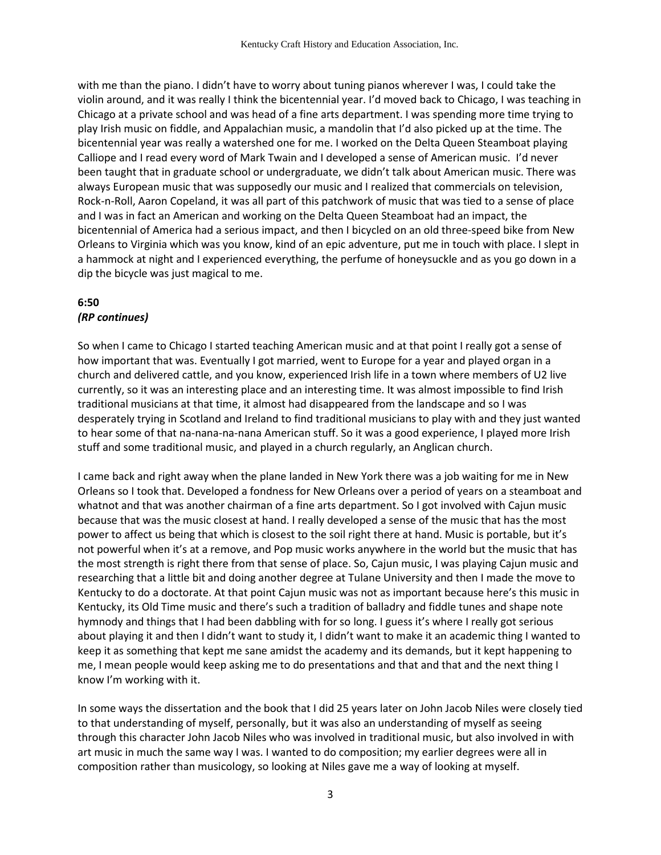with me than the piano. I didn't have to worry about tuning pianos wherever I was, I could take the violin around, and it was really I think the bicentennial year. I'd moved back to Chicago, I was teaching in Chicago at a private school and was head of a fine arts department. I was spending more time trying to play Irish music on fiddle, and Appalachian music, a mandolin that I'd also picked up at the time. The bicentennial year was really a watershed one for me. I worked on the Delta Queen Steamboat playing Calliope and I read every word of Mark Twain and I developed a sense of American music. I'd never been taught that in graduate school or undergraduate, we didn't talk about American music. There was always European music that was supposedly our music and I realized that commercials on television, Rock-n-Roll, Aaron Copeland, it was all part of this patchwork of music that was tied to a sense of place and I was in fact an American and working on the Delta Queen Steamboat had an impact, the bicentennial of America had a serious impact, and then I bicycled on an old three-speed bike from New Orleans to Virginia which was you know, kind of an epic adventure, put me in touch with place. I slept in a hammock at night and I experienced everything, the perfume of honeysuckle and as you go down in a dip the bicycle was just magical to me.

### **6:50** *(RP continues)*

So when I came to Chicago I started teaching American music and at that point I really got a sense of how important that was. Eventually I got married, went to Europe for a year and played organ in a church and delivered cattle, and you know, experienced Irish life in a town where members of U2 live currently, so it was an interesting place and an interesting time. It was almost impossible to find Irish traditional musicians at that time, it almost had disappeared from the landscape and so I was desperately trying in Scotland and Ireland to find traditional musicians to play with and they just wanted to hear some of that na-nana-na-nana American stuff. So it was a good experience, I played more Irish stuff and some traditional music, and played in a church regularly, an Anglican church.

I came back and right away when the plane landed in New York there was a job waiting for me in New Orleans so I took that. Developed a fondness for New Orleans over a period of years on a steamboat and whatnot and that was another chairman of a fine arts department. So I got involved with Cajun music because that was the music closest at hand. I really developed a sense of the music that has the most power to affect us being that which is closest to the soil right there at hand. Music is portable, but it's not powerful when it's at a remove, and Pop music works anywhere in the world but the music that has the most strength is right there from that sense of place. So, Cajun music, I was playing Cajun music and researching that a little bit and doing another degree at Tulane University and then I made the move to Kentucky to do a doctorate. At that point Cajun music was not as important because here's this music in Kentucky, its Old Time music and there's such a tradition of balladry and fiddle tunes and shape note hymnody and things that I had been dabbling with for so long. I guess it's where I really got serious about playing it and then I didn't want to study it, I didn't want to make it an academic thing I wanted to keep it as something that kept me sane amidst the academy and its demands, but it kept happening to me, I mean people would keep asking me to do presentations and that and that and the next thing I know I'm working with it.

In some ways the dissertation and the book that I did 25 years later on John Jacob Niles were closely tied to that understanding of myself, personally, but it was also an understanding of myself as seeing through this character John Jacob Niles who was involved in traditional music, but also involved in with art music in much the same way I was. I wanted to do composition; my earlier degrees were all in composition rather than musicology, so looking at Niles gave me a way of looking at myself.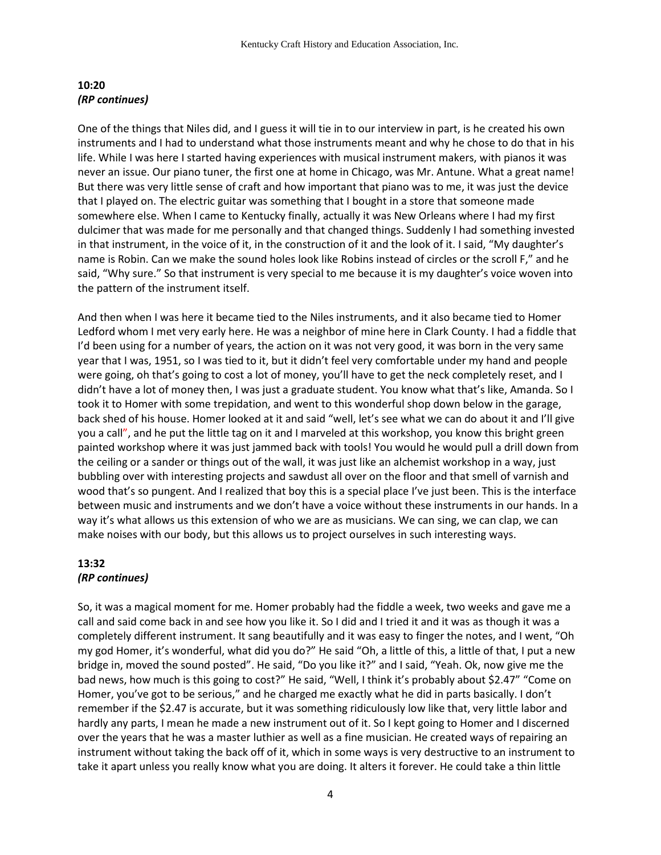#### **10:20**  *(RP continues)*

One of the things that Niles did, and I guess it will tie in to our interview in part, is he created his own instruments and I had to understand what those instruments meant and why he chose to do that in his life. While I was here I started having experiences with musical instrument makers, with pianos it was never an issue. Our piano tuner, the first one at home in Chicago, was Mr. Antune. What a great name! But there was very little sense of craft and how important that piano was to me, it was just the device that I played on. The electric guitar was something that I bought in a store that someone made somewhere else. When I came to Kentucky finally, actually it was New Orleans where I had my first dulcimer that was made for me personally and that changed things. Suddenly I had something invested in that instrument, in the voice of it, in the construction of it and the look of it. I said, "My daughter's name is Robin. Can we make the sound holes look like Robins instead of circles or the scroll F," and he said, "Why sure." So that instrument is very special to me because it is my daughter's voice woven into the pattern of the instrument itself.

And then when I was here it became tied to the Niles instruments, and it also became tied to Homer Ledford whom I met very early here. He was a neighbor of mine here in Clark County. I had a fiddle that I'd been using for a number of years, the action on it was not very good, it was born in the very same year that I was, 1951, so I was tied to it, but it didn't feel very comfortable under my hand and people were going, oh that's going to cost a lot of money, you'll have to get the neck completely reset, and I didn't have a lot of money then, I was just a graduate student. You know what that's like, Amanda. So I took it to Homer with some trepidation, and went to this wonderful shop down below in the garage, back shed of his house. Homer looked at it and said "well, let's see what we can do about it and I'll give you a call", and he put the little tag on it and I marveled at this workshop, you know this bright green painted workshop where it was just jammed back with tools! You would he would pull a drill down from the ceiling or a sander or things out of the wall, it was just like an alchemist workshop in a way, just bubbling over with interesting projects and sawdust all over on the floor and that smell of varnish and wood that's so pungent. And I realized that boy this is a special place I've just been. This is the interface between music and instruments and we don't have a voice without these instruments in our hands. In a way it's what allows us this extension of who we are as musicians. We can sing, we can clap, we can make noises with our body, but this allows us to project ourselves in such interesting ways.

### **13:32** *(RP continues)*

So, it was a magical moment for me. Homer probably had the fiddle a week, two weeks and gave me a call and said come back in and see how you like it. So I did and I tried it and it was as though it was a completely different instrument. It sang beautifully and it was easy to finger the notes, and I went, "Oh my god Homer, it's wonderful, what did you do?" He said "Oh, a little of this, a little of that, I put a new bridge in, moved the sound posted". He said, "Do you like it?" and I said, "Yeah. Ok, now give me the bad news, how much is this going to cost?" He said, "Well, I think it's probably about \$2.47" "Come on Homer, you've got to be serious," and he charged me exactly what he did in parts basically. I don't remember if the \$2.47 is accurate, but it was something ridiculously low like that, very little labor and hardly any parts, I mean he made a new instrument out of it. So I kept going to Homer and I discerned over the years that he was a master luthier as well as a fine musician. He created ways of repairing an instrument without taking the back off of it, which in some ways is very destructive to an instrument to take it apart unless you really know what you are doing. It alters it forever. He could take a thin little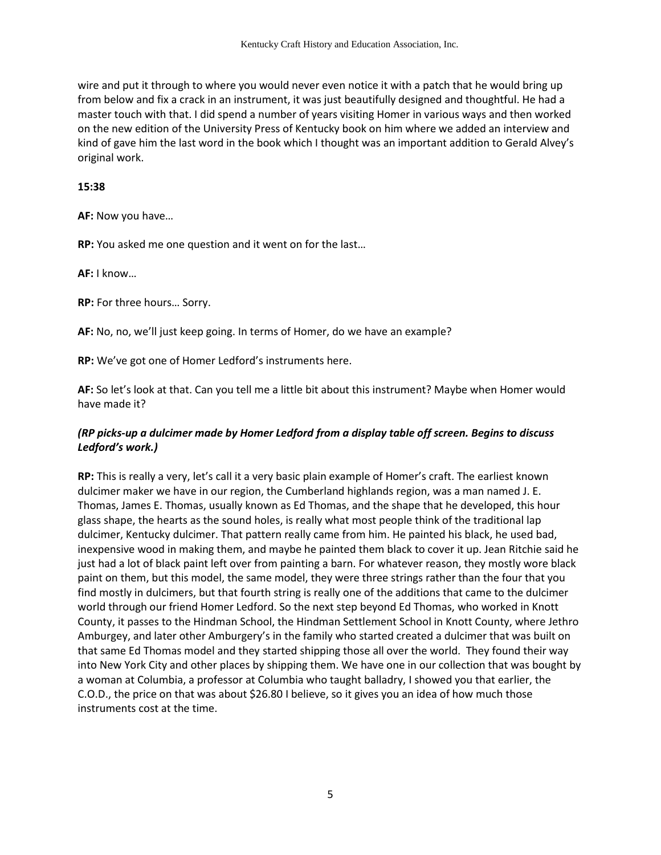wire and put it through to where you would never even notice it with a patch that he would bring up from below and fix a crack in an instrument, it was just beautifully designed and thoughtful. He had a master touch with that. I did spend a number of years visiting Homer in various ways and then worked on the new edition of the University Press of Kentucky book on him where we added an interview and kind of gave him the last word in the book which I thought was an important addition to Gerald Alvey's original work.

#### **15:38**

**AF:** Now you have…

**RP:** You asked me one question and it went on for the last…

**AF:** I know…

**RP:** For three hours… Sorry.

**AF:** No, no, we'll just keep going. In terms of Homer, do we have an example?

**RP:** We've got one of Homer Ledford's instruments here.

**AF:** So let's look at that. Can you tell me a little bit about this instrument? Maybe when Homer would have made it?

### *(RP picks-up a dulcimer made by Homer Ledford from a display table off screen. Begins to discuss Ledford's work.)*

**RP:** This is really a very, let's call it a very basic plain example of Homer's craft. The earliest known dulcimer maker we have in our region, the Cumberland highlands region, was a man named J. E. Thomas, James E. Thomas, usually known as Ed Thomas, and the shape that he developed, this hour glass shape, the hearts as the sound holes, is really what most people think of the traditional lap dulcimer, Kentucky dulcimer. That pattern really came from him. He painted his black, he used bad, inexpensive wood in making them, and maybe he painted them black to cover it up. Jean Ritchie said he just had a lot of black paint left over from painting a barn. For whatever reason, they mostly wore black paint on them, but this model, the same model, they were three strings rather than the four that you find mostly in dulcimers, but that fourth string is really one of the additions that came to the dulcimer world through our friend Homer Ledford. So the next step beyond Ed Thomas, who worked in Knott County, it passes to the Hindman School, the Hindman Settlement School in Knott County, where Jethro Amburgey, and later other Amburgery's in the family who started created a dulcimer that was built on that same Ed Thomas model and they started shipping those all over the world. They found their way into New York City and other places by shipping them. We have one in our collection that was bought by a woman at Columbia, a professor at Columbia who taught balladry, I showed you that earlier, the C.O.D., the price on that was about \$26.80 I believe, so it gives you an idea of how much those instruments cost at the time.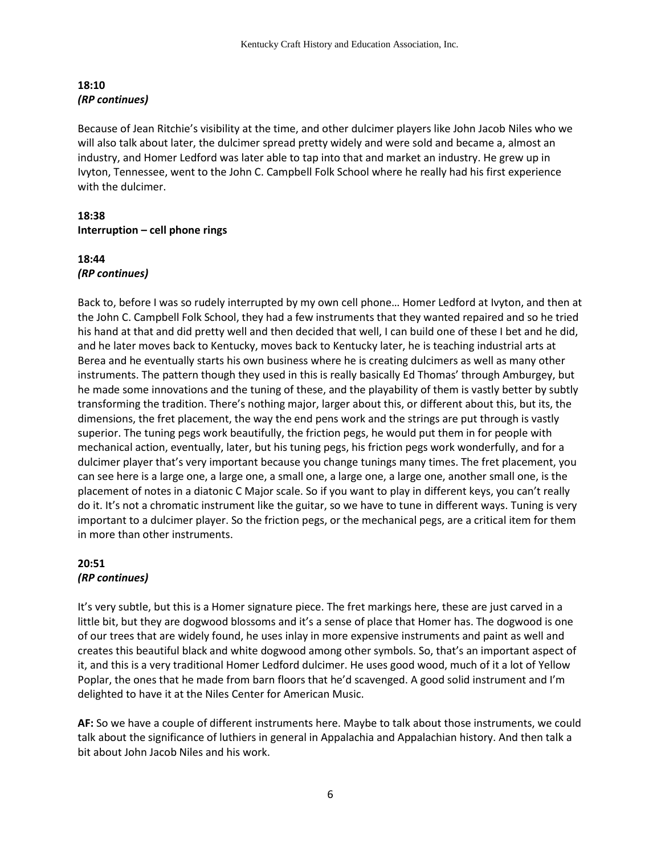# **18:10** *(RP continues)*

Because of Jean Ritchie's visibility at the time, and other dulcimer players like John Jacob Niles who we will also talk about later, the dulcimer spread pretty widely and were sold and became a, almost an industry, and Homer Ledford was later able to tap into that and market an industry. He grew up in Ivyton, Tennessee, went to the John C. Campbell Folk School where he really had his first experience with the dulcimer.

# **18:38 Interruption – cell phone rings**

### **18:44** *(RP continues)*

Back to, before I was so rudely interrupted by my own cell phone… Homer Ledford at Ivyton, and then at the John C. Campbell Folk School, they had a few instruments that they wanted repaired and so he tried his hand at that and did pretty well and then decided that well, I can build one of these I bet and he did, and he later moves back to Kentucky, moves back to Kentucky later, he is teaching industrial arts at Berea and he eventually starts his own business where he is creating dulcimers as well as many other instruments. The pattern though they used in this is really basically Ed Thomas' through Amburgey, but he made some innovations and the tuning of these, and the playability of them is vastly better by subtly transforming the tradition. There's nothing major, larger about this, or different about this, but its, the dimensions, the fret placement, the way the end pens work and the strings are put through is vastly superior. The tuning pegs work beautifully, the friction pegs, he would put them in for people with mechanical action, eventually, later, but his tuning pegs, his friction pegs work wonderfully, and for a dulcimer player that's very important because you change tunings many times. The fret placement, you can see here is a large one, a large one, a small one, a large one, a large one, another small one, is the placement of notes in a diatonic C Major scale. So if you want to play in different keys, you can't really do it. It's not a chromatic instrument like the guitar, so we have to tune in different ways. Tuning is very important to a dulcimer player. So the friction pegs, or the mechanical pegs, are a critical item for them in more than other instruments.

### **20:51** *(RP continues)*

It's very subtle, but this is a Homer signature piece. The fret markings here, these are just carved in a little bit, but they are dogwood blossoms and it's a sense of place that Homer has. The dogwood is one of our trees that are widely found, he uses inlay in more expensive instruments and paint as well and creates this beautiful black and white dogwood among other symbols. So, that's an important aspect of it, and this is a very traditional Homer Ledford dulcimer. He uses good wood, much of it a lot of Yellow Poplar, the ones that he made from barn floors that he'd scavenged. A good solid instrument and I'm delighted to have it at the Niles Center for American Music.

**AF:** So we have a couple of different instruments here. Maybe to talk about those instruments, we could talk about the significance of luthiers in general in Appalachia and Appalachian history. And then talk a bit about John Jacob Niles and his work.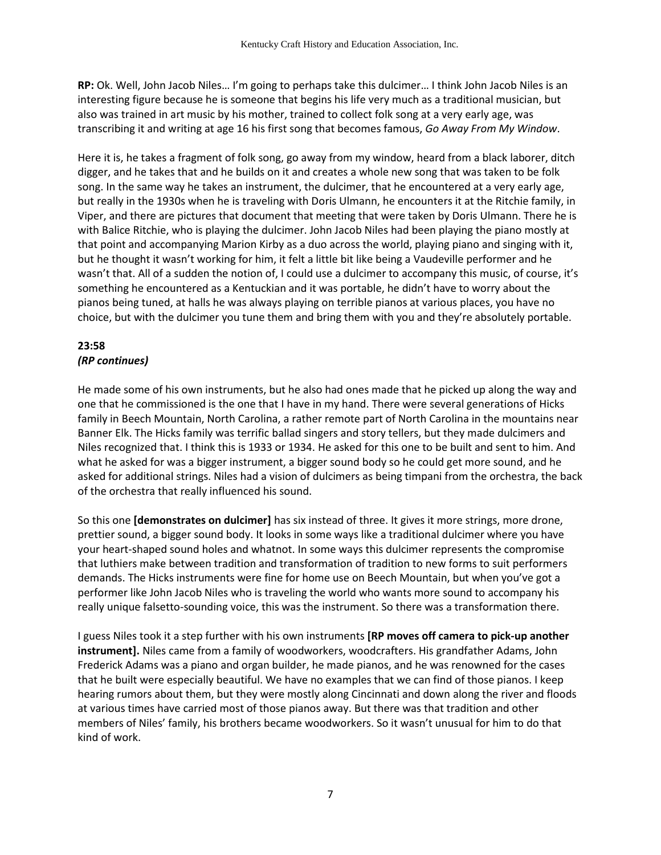**RP:** Ok. Well, John Jacob Niles… I'm going to perhaps take this dulcimer… I think John Jacob Niles is an interesting figure because he is someone that begins his life very much as a traditional musician, but also was trained in art music by his mother, trained to collect folk song at a very early age, was transcribing it and writing at age 16 his first song that becomes famous, *Go Away From My Window*.

Here it is, he takes a fragment of folk song, go away from my window, heard from a black laborer, ditch digger, and he takes that and he builds on it and creates a whole new song that was taken to be folk song. In the same way he takes an instrument, the dulcimer, that he encountered at a very early age, but really in the 1930s when he is traveling with Doris Ulmann, he encounters it at the Ritchie family, in Viper, and there are pictures that document that meeting that were taken by Doris Ulmann. There he is with Balice Ritchie, who is playing the dulcimer. John Jacob Niles had been playing the piano mostly at that point and accompanying Marion Kirby as a duo across the world, playing piano and singing with it, but he thought it wasn't working for him, it felt a little bit like being a Vaudeville performer and he wasn't that. All of a sudden the notion of, I could use a dulcimer to accompany this music, of course, it's something he encountered as a Kentuckian and it was portable, he didn't have to worry about the pianos being tuned, at halls he was always playing on terrible pianos at various places, you have no choice, but with the dulcimer you tune them and bring them with you and they're absolutely portable.

# **23:58** *(RP continues)*

He made some of his own instruments, but he also had ones made that he picked up along the way and one that he commissioned is the one that I have in my hand. There were several generations of Hicks family in Beech Mountain, North Carolina, a rather remote part of North Carolina in the mountains near Banner Elk. The Hicks family was terrific ballad singers and story tellers, but they made dulcimers and Niles recognized that. I think this is 1933 or 1934. He asked for this one to be built and sent to him. And what he asked for was a bigger instrument, a bigger sound body so he could get more sound, and he asked for additional strings. Niles had a vision of dulcimers as being timpani from the orchestra, the back of the orchestra that really influenced his sound.

So this one **[demonstrates on dulcimer]** has six instead of three. It gives it more strings, more drone, prettier sound, a bigger sound body. It looks in some ways like a traditional dulcimer where you have your heart-shaped sound holes and whatnot. In some ways this dulcimer represents the compromise that luthiers make between tradition and transformation of tradition to new forms to suit performers demands. The Hicks instruments were fine for home use on Beech Mountain, but when you've got a performer like John Jacob Niles who is traveling the world who wants more sound to accompany his really unique falsetto-sounding voice, this was the instrument. So there was a transformation there.

I guess Niles took it a step further with his own instruments **[RP moves off camera to pick-up another instrument].** Niles came from a family of woodworkers, woodcrafters. His grandfather Adams, John Frederick Adams was a piano and organ builder, he made pianos, and he was renowned for the cases that he built were especially beautiful. We have no examples that we can find of those pianos. I keep hearing rumors about them, but they were mostly along Cincinnati and down along the river and floods at various times have carried most of those pianos away. But there was that tradition and other members of Niles' family, his brothers became woodworkers. So it wasn't unusual for him to do that kind of work.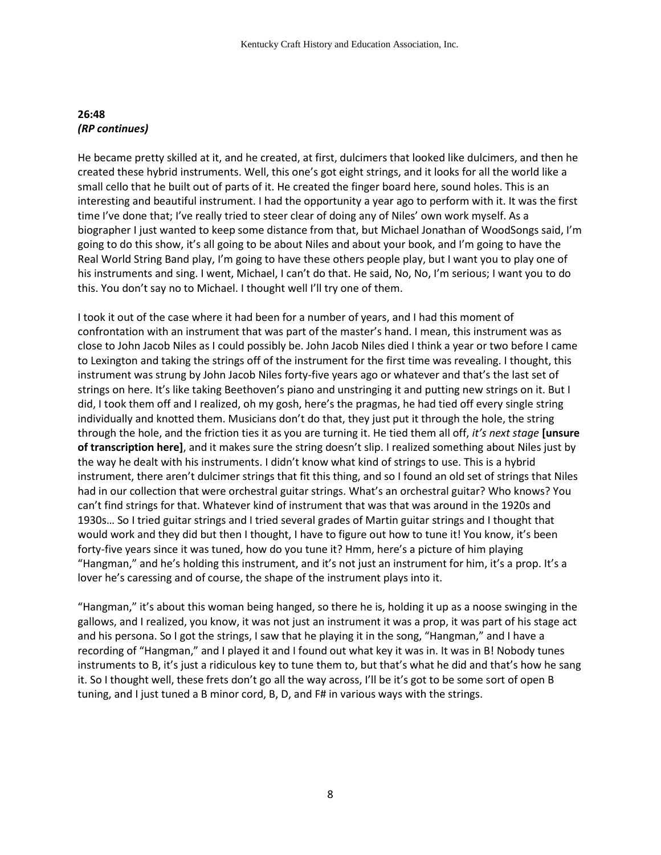### **26:48** *(RP continues)*

He became pretty skilled at it, and he created, at first, dulcimers that looked like dulcimers, and then he created these hybrid instruments. Well, this one's got eight strings, and it looks for all the world like a small cello that he built out of parts of it. He created the finger board here, sound holes. This is an interesting and beautiful instrument. I had the opportunity a year ago to perform with it. It was the first time I've done that; I've really tried to steer clear of doing any of Niles' own work myself. As a biographer I just wanted to keep some distance from that, but Michael Jonathan of WoodSongs said, I'm going to do this show, it's all going to be about Niles and about your book, and I'm going to have the Real World String Band play, I'm going to have these others people play, but I want you to play one of his instruments and sing. I went, Michael, I can't do that. He said, No, No, I'm serious; I want you to do this. You don't say no to Michael. I thought well I'll try one of them.

I took it out of the case where it had been for a number of years, and I had this moment of confrontation with an instrument that was part of the master's hand. I mean, this instrument was as close to John Jacob Niles as I could possibly be. John Jacob Niles died I think a year or two before I came to Lexington and taking the strings off of the instrument for the first time was revealing. I thought, this instrument was strung by John Jacob Niles forty-five years ago or whatever and that's the last set of strings on here. It's like taking Beethoven's piano and unstringing it and putting new strings on it. But I did, I took them off and I realized, oh my gosh, here's the pragmas, he had tied off every single string individually and knotted them. Musicians don't do that, they just put it through the hole, the string through the hole, and the friction ties it as you are turning it. He tied them all off, *it's next stage* **[unsure of transcription here]**, and it makes sure the string doesn't slip. I realized something about Niles just by the way he dealt with his instruments. I didn't know what kind of strings to use. This is a hybrid instrument, there aren't dulcimer strings that fit this thing, and so I found an old set of strings that Niles had in our collection that were orchestral guitar strings. What's an orchestral guitar? Who knows? You can't find strings for that. Whatever kind of instrument that was that was around in the 1920s and 1930s… So I tried guitar strings and I tried several grades of Martin guitar strings and I thought that would work and they did but then I thought, I have to figure out how to tune it! You know, it's been forty-five years since it was tuned, how do you tune it? Hmm, here's a picture of him playing "Hangman," and he's holding this instrument, and it's not just an instrument for him, it's a prop. It's a lover he's caressing and of course, the shape of the instrument plays into it.

"Hangman," it's about this woman being hanged, so there he is, holding it up as a noose swinging in the gallows, and I realized, you know, it was not just an instrument it was a prop, it was part of his stage act and his persona. So I got the strings, I saw that he playing it in the song, "Hangman," and I have a recording of "Hangman," and I played it and I found out what key it was in. It was in B! Nobody tunes instruments to B, it's just a ridiculous key to tune them to, but that's what he did and that's how he sang it. So I thought well, these frets don't go all the way across, I'll be it's got to be some sort of open B tuning, and I just tuned a B minor cord, B, D, and F# in various ways with the strings.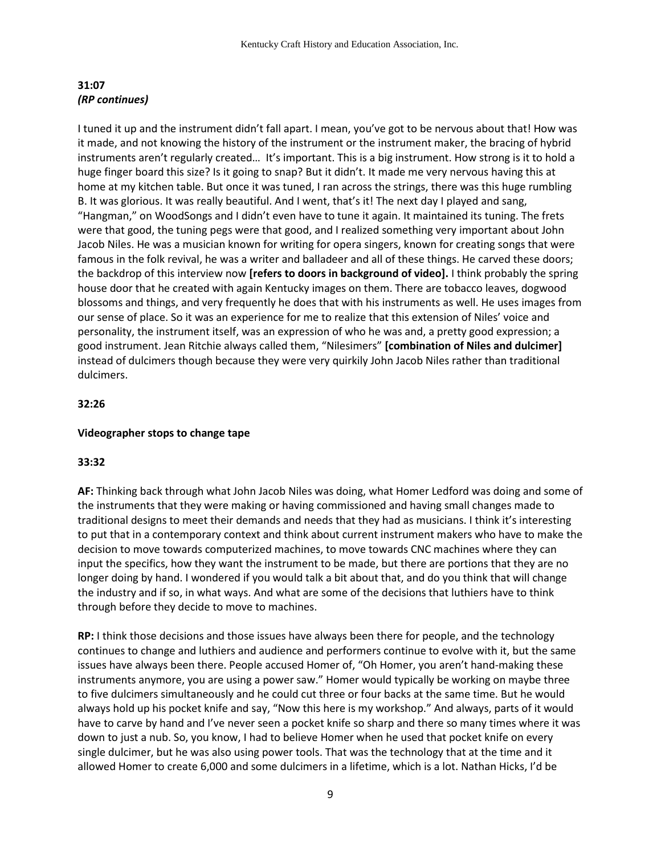### **31:07**  *(RP continues)*

I tuned it up and the instrument didn't fall apart. I mean, you've got to be nervous about that! How was it made, and not knowing the history of the instrument or the instrument maker, the bracing of hybrid instruments aren't regularly created… It's important. This is a big instrument. How strong is it to hold a huge finger board this size? Is it going to snap? But it didn't. It made me very nervous having this at home at my kitchen table. But once it was tuned, I ran across the strings, there was this huge rumbling B. It was glorious. It was really beautiful. And I went, that's it! The next day I played and sang, "Hangman," on WoodSongs and I didn't even have to tune it again. It maintained its tuning. The frets were that good, the tuning pegs were that good, and I realized something very important about John Jacob Niles. He was a musician known for writing for opera singers, known for creating songs that were famous in the folk revival, he was a writer and balladeer and all of these things. He carved these doors; the backdrop of this interview now **[refers to doors in background of video].** I think probably the spring house door that he created with again Kentucky images on them. There are tobacco leaves, dogwood blossoms and things, and very frequently he does that with his instruments as well. He uses images from our sense of place. So it was an experience for me to realize that this extension of Niles' voice and personality, the instrument itself, was an expression of who he was and, a pretty good expression; a good instrument. Jean Ritchie always called them, "Nilesimers" **[combination of Niles and dulcimer]** instead of dulcimers though because they were very quirkily John Jacob Niles rather than traditional dulcimers.

# **32:26**

# **Videographer stops to change tape**

# **33:32**

**AF:** Thinking back through what John Jacob Niles was doing, what Homer Ledford was doing and some of the instruments that they were making or having commissioned and having small changes made to traditional designs to meet their demands and needs that they had as musicians. I think it's interesting to put that in a contemporary context and think about current instrument makers who have to make the decision to move towards computerized machines, to move towards CNC machines where they can input the specifics, how they want the instrument to be made, but there are portions that they are no longer doing by hand. I wondered if you would talk a bit about that, and do you think that will change the industry and if so, in what ways. And what are some of the decisions that luthiers have to think through before they decide to move to machines.

**RP:** I think those decisions and those issues have always been there for people, and the technology continues to change and luthiers and audience and performers continue to evolve with it, but the same issues have always been there. People accused Homer of, "Oh Homer, you aren't hand-making these instruments anymore, you are using a power saw." Homer would typically be working on maybe three to five dulcimers simultaneously and he could cut three or four backs at the same time. But he would always hold up his pocket knife and say, "Now this here is my workshop." And always, parts of it would have to carve by hand and I've never seen a pocket knife so sharp and there so many times where it was down to just a nub. So, you know, I had to believe Homer when he used that pocket knife on every single dulcimer, but he was also using power tools. That was the technology that at the time and it allowed Homer to create 6,000 and some dulcimers in a lifetime, which is a lot. Nathan Hicks, I'd be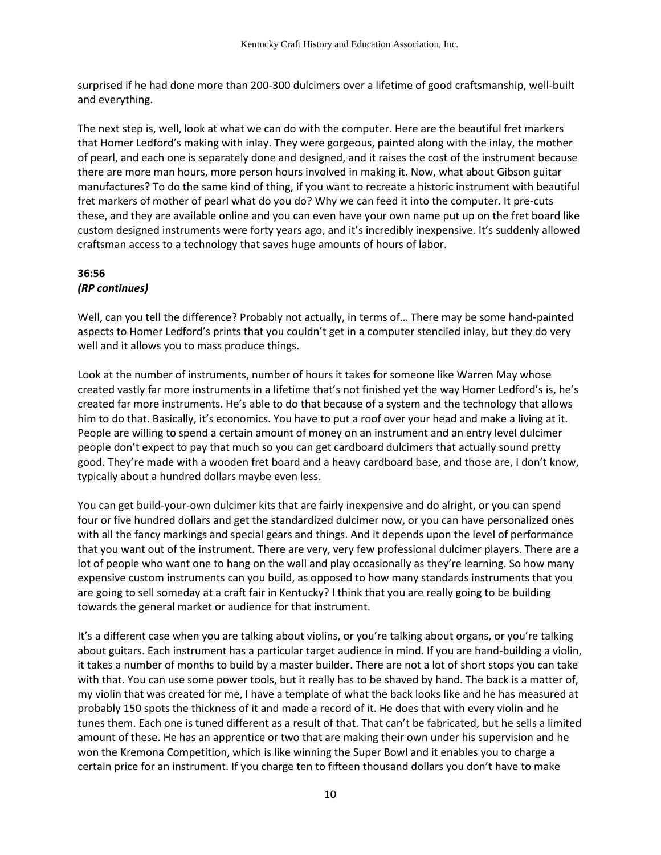surprised if he had done more than 200-300 dulcimers over a lifetime of good craftsmanship, well-built and everything.

The next step is, well, look at what we can do with the computer. Here are the beautiful fret markers that Homer Ledford's making with inlay. They were gorgeous, painted along with the inlay, the mother of pearl, and each one is separately done and designed, and it raises the cost of the instrument because there are more man hours, more person hours involved in making it. Now, what about Gibson guitar manufactures? To do the same kind of thing, if you want to recreate a historic instrument with beautiful fret markers of mother of pearl what do you do? Why we can feed it into the computer. It pre-cuts these, and they are available online and you can even have your own name put up on the fret board like custom designed instruments were forty years ago, and it's incredibly inexpensive. It's suddenly allowed craftsman access to a technology that saves huge amounts of hours of labor.

# **36:56** *(RP continues)*

Well, can you tell the difference? Probably not actually, in terms of… There may be some hand-painted aspects to Homer Ledford's prints that you couldn't get in a computer stenciled inlay, but they do very well and it allows you to mass produce things.

Look at the number of instruments, number of hours it takes for someone like Warren May whose created vastly far more instruments in a lifetime that's not finished yet the way Homer Ledford's is, he's created far more instruments. He's able to do that because of a system and the technology that allows him to do that. Basically, it's economics. You have to put a roof over your head and make a living at it. People are willing to spend a certain amount of money on an instrument and an entry level dulcimer people don't expect to pay that much so you can get cardboard dulcimers that actually sound pretty good. They're made with a wooden fret board and a heavy cardboard base, and those are, I don't know, typically about a hundred dollars maybe even less.

You can get build-your-own dulcimer kits that are fairly inexpensive and do alright, or you can spend four or five hundred dollars and get the standardized dulcimer now, or you can have personalized ones with all the fancy markings and special gears and things. And it depends upon the level of performance that you want out of the instrument. There are very, very few professional dulcimer players. There are a lot of people who want one to hang on the wall and play occasionally as they're learning. So how many expensive custom instruments can you build, as opposed to how many standards instruments that you are going to sell someday at a craft fair in Kentucky? I think that you are really going to be building towards the general market or audience for that instrument.

It's a different case when you are talking about violins, or you're talking about organs, or you're talking about guitars. Each instrument has a particular target audience in mind. If you are hand-building a violin, it takes a number of months to build by a master builder. There are not a lot of short stops you can take with that. You can use some power tools, but it really has to be shaved by hand. The back is a matter of, my violin that was created for me, I have a template of what the back looks like and he has measured at probably 150 spots the thickness of it and made a record of it. He does that with every violin and he tunes them. Each one is tuned different as a result of that. That can't be fabricated, but he sells a limited amount of these. He has an apprentice or two that are making their own under his supervision and he won the Kremona Competition, which is like winning the Super Bowl and it enables you to charge a certain price for an instrument. If you charge ten to fifteen thousand dollars you don't have to make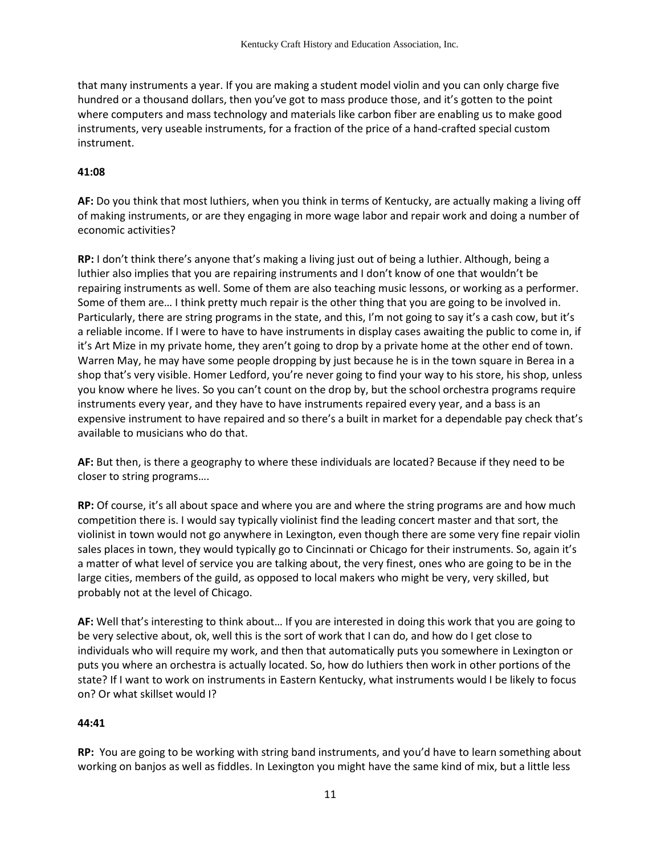that many instruments a year. If you are making a student model violin and you can only charge five hundred or a thousand dollars, then you've got to mass produce those, and it's gotten to the point where computers and mass technology and materials like carbon fiber are enabling us to make good instruments, very useable instruments, for a fraction of the price of a hand-crafted special custom instrument.

### **41:08**

**AF:** Do you think that most luthiers, when you think in terms of Kentucky, are actually making a living off of making instruments, or are they engaging in more wage labor and repair work and doing a number of economic activities?

**RP:** I don't think there's anyone that's making a living just out of being a luthier. Although, being a luthier also implies that you are repairing instruments and I don't know of one that wouldn't be repairing instruments as well. Some of them are also teaching music lessons, or working as a performer. Some of them are… I think pretty much repair is the other thing that you are going to be involved in. Particularly, there are string programs in the state, and this, I'm not going to say it's a cash cow, but it's a reliable income. If I were to have to have instruments in display cases awaiting the public to come in, if it's Art Mize in my private home, they aren't going to drop by a private home at the other end of town. Warren May, he may have some people dropping by just because he is in the town square in Berea in a shop that's very visible. Homer Ledford, you're never going to find your way to his store, his shop, unless you know where he lives. So you can't count on the drop by, but the school orchestra programs require instruments every year, and they have to have instruments repaired every year, and a bass is an expensive instrument to have repaired and so there's a built in market for a dependable pay check that's available to musicians who do that.

**AF:** But then, is there a geography to where these individuals are located? Because if they need to be closer to string programs….

**RP:** Of course, it's all about space and where you are and where the string programs are and how much competition there is. I would say typically violinist find the leading concert master and that sort, the violinist in town would not go anywhere in Lexington, even though there are some very fine repair violin sales places in town, they would typically go to Cincinnati or Chicago for their instruments. So, again it's a matter of what level of service you are talking about, the very finest, ones who are going to be in the large cities, members of the guild, as opposed to local makers who might be very, very skilled, but probably not at the level of Chicago.

**AF:** Well that's interesting to think about… If you are interested in doing this work that you are going to be very selective about, ok, well this is the sort of work that I can do, and how do I get close to individuals who will require my work, and then that automatically puts you somewhere in Lexington or puts you where an orchestra is actually located. So, how do luthiers then work in other portions of the state? If I want to work on instruments in Eastern Kentucky, what instruments would I be likely to focus on? Or what skillset would I?

#### **44:41**

**RP:** You are going to be working with string band instruments, and you'd have to learn something about working on banjos as well as fiddles. In Lexington you might have the same kind of mix, but a little less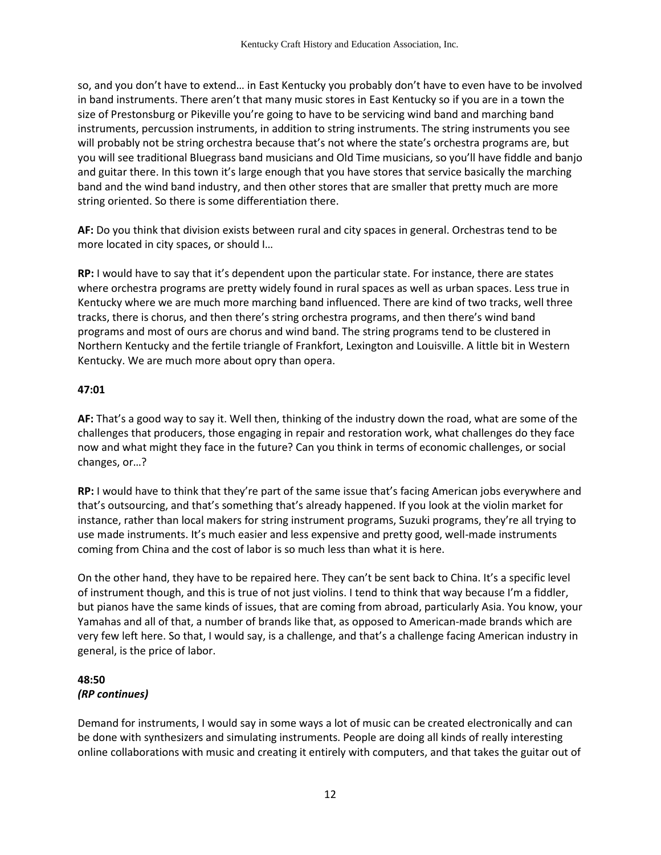so, and you don't have to extend… in East Kentucky you probably don't have to even have to be involved in band instruments. There aren't that many music stores in East Kentucky so if you are in a town the size of Prestonsburg or Pikeville you're going to have to be servicing wind band and marching band instruments, percussion instruments, in addition to string instruments. The string instruments you see will probably not be string orchestra because that's not where the state's orchestra programs are, but you will see traditional Bluegrass band musicians and Old Time musicians, so you'll have fiddle and banjo and guitar there. In this town it's large enough that you have stores that service basically the marching band and the wind band industry, and then other stores that are smaller that pretty much are more string oriented. So there is some differentiation there.

**AF:** Do you think that division exists between rural and city spaces in general. Orchestras tend to be more located in city spaces, or should I…

**RP:** I would have to say that it's dependent upon the particular state. For instance, there are states where orchestra programs are pretty widely found in rural spaces as well as urban spaces. Less true in Kentucky where we are much more marching band influenced. There are kind of two tracks, well three tracks, there is chorus, and then there's string orchestra programs, and then there's wind band programs and most of ours are chorus and wind band. The string programs tend to be clustered in Northern Kentucky and the fertile triangle of Frankfort, Lexington and Louisville. A little bit in Western Kentucky. We are much more about opry than opera.

#### **47:01**

**AF:** That's a good way to say it. Well then, thinking of the industry down the road, what are some of the challenges that producers, those engaging in repair and restoration work, what challenges do they face now and what might they face in the future? Can you think in terms of economic challenges, or social changes, or…?

**RP:** I would have to think that they're part of the same issue that's facing American jobs everywhere and that's outsourcing, and that's something that's already happened. If you look at the violin market for instance, rather than local makers for string instrument programs, Suzuki programs, they're all trying to use made instruments. It's much easier and less expensive and pretty good, well-made instruments coming from China and the cost of labor is so much less than what it is here.

On the other hand, they have to be repaired here. They can't be sent back to China. It's a specific level of instrument though, and this is true of not just violins. I tend to think that way because I'm a fiddler, but pianos have the same kinds of issues, that are coming from abroad, particularly Asia. You know, your Yamahas and all of that, a number of brands like that, as opposed to American-made brands which are very few left here. So that, I would say, is a challenge, and that's a challenge facing American industry in general, is the price of labor.

#### **48:50** *(RP continues)*

Demand for instruments, I would say in some ways a lot of music can be created electronically and can be done with synthesizers and simulating instruments. People are doing all kinds of really interesting online collaborations with music and creating it entirely with computers, and that takes the guitar out of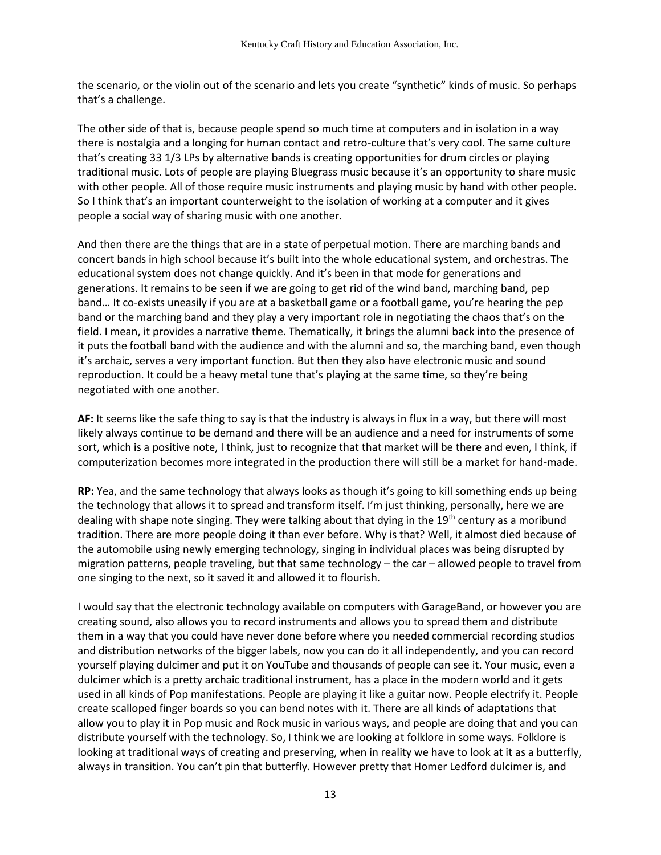the scenario, or the violin out of the scenario and lets you create "synthetic" kinds of music. So perhaps that's a challenge.

The other side of that is, because people spend so much time at computers and in isolation in a way there is nostalgia and a longing for human contact and retro-culture that's very cool. The same culture that's creating 33 1/3 LPs by alternative bands is creating opportunities for drum circles or playing traditional music. Lots of people are playing Bluegrass music because it's an opportunity to share music with other people. All of those require music instruments and playing music by hand with other people. So I think that's an important counterweight to the isolation of working at a computer and it gives people a social way of sharing music with one another.

And then there are the things that are in a state of perpetual motion. There are marching bands and concert bands in high school because it's built into the whole educational system, and orchestras. The educational system does not change quickly. And it's been in that mode for generations and generations. It remains to be seen if we are going to get rid of the wind band, marching band, pep band… It co-exists uneasily if you are at a basketball game or a football game, you're hearing the pep band or the marching band and they play a very important role in negotiating the chaos that's on the field. I mean, it provides a narrative theme. Thematically, it brings the alumni back into the presence of it puts the football band with the audience and with the alumni and so, the marching band, even though it's archaic, serves a very important function. But then they also have electronic music and sound reproduction. It could be a heavy metal tune that's playing at the same time, so they're being negotiated with one another.

**AF:** It seems like the safe thing to say is that the industry is always in flux in a way, but there will most likely always continue to be demand and there will be an audience and a need for instruments of some sort, which is a positive note, I think, just to recognize that that market will be there and even, I think, if computerization becomes more integrated in the production there will still be a market for hand-made.

**RP:** Yea, and the same technology that always looks as though it's going to kill something ends up being the technology that allows it to spread and transform itself. I'm just thinking, personally, here we are dealing with shape note singing. They were talking about that dying in the 19<sup>th</sup> century as a moribund tradition. There are more people doing it than ever before. Why is that? Well, it almost died because of the automobile using newly emerging technology, singing in individual places was being disrupted by migration patterns, people traveling, but that same technology – the car – allowed people to travel from one singing to the next, so it saved it and allowed it to flourish.

I would say that the electronic technology available on computers with GarageBand, or however you are creating sound, also allows you to record instruments and allows you to spread them and distribute them in a way that you could have never done before where you needed commercial recording studios and distribution networks of the bigger labels, now you can do it all independently, and you can record yourself playing dulcimer and put it on YouTube and thousands of people can see it. Your music, even a dulcimer which is a pretty archaic traditional instrument, has a place in the modern world and it gets used in all kinds of Pop manifestations. People are playing it like a guitar now. People electrify it. People create scalloped finger boards so you can bend notes with it. There are all kinds of adaptations that allow you to play it in Pop music and Rock music in various ways, and people are doing that and you can distribute yourself with the technology. So, I think we are looking at folklore in some ways. Folklore is looking at traditional ways of creating and preserving, when in reality we have to look at it as a butterfly, always in transition. You can't pin that butterfly. However pretty that Homer Ledford dulcimer is, and